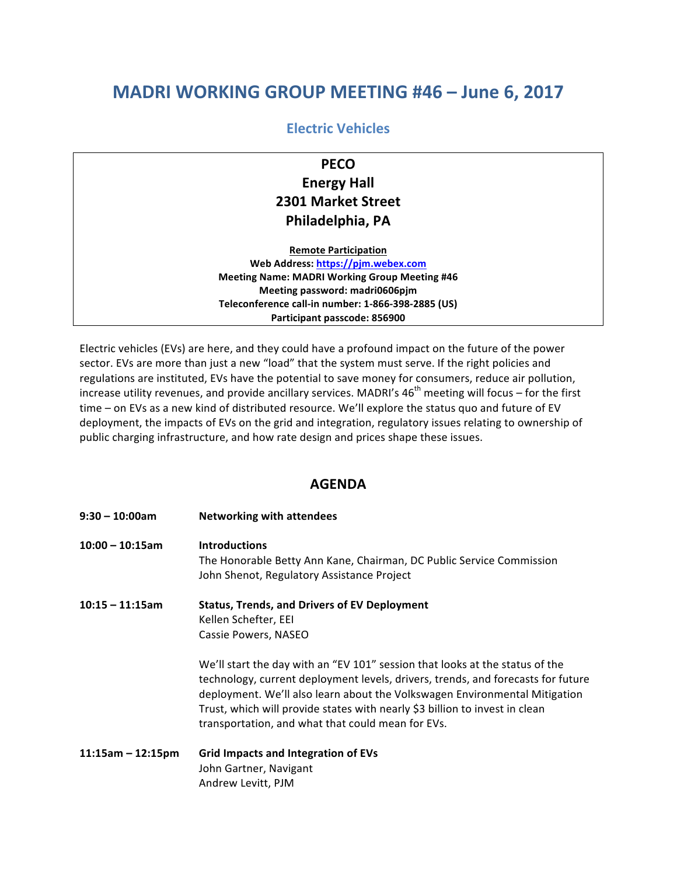## **MADRI WORKING GROUP MEETING #46 - June 6, 2017**

## **Electric Vehicles**

## **PECO Energy Hall 2301 Market Street Philadelphia, PA**

**Remote Participation** Web Address: https://pjm.webex.com **Meeting Name: MADRI Working Group Meeting #46 Meeting password: madri0606pjm Teleconference call-in number: 1-866-398-2885 (US)** Participant passcode: 856900

Electric vehicles (EVs) are here, and they could have a profound impact on the future of the power sector. EVs are more than just a new "load" that the system must serve. If the right policies and regulations are instituted, EVs have the potential to save money for consumers, reduce air pollution, increase utility revenues, and provide ancillary services. MADRI's  $46<sup>th</sup>$  meeting will focus – for the first time – on EVs as a new kind of distributed resource. We'll explore the status quo and future of EV deployment, the impacts of EVs on the grid and integration, regulatory issues relating to ownership of public charging infrastructure, and how rate design and prices shape these issues.

## **AGENDA**

| $9:30 - 10:00$ am   | <b>Networking with attendees</b>                                                                                                                                                                                                                                                                                                                                                   |
|---------------------|------------------------------------------------------------------------------------------------------------------------------------------------------------------------------------------------------------------------------------------------------------------------------------------------------------------------------------------------------------------------------------|
| $10:00 - 10:15$ am  | <b>Introductions</b><br>The Honorable Betty Ann Kane, Chairman, DC Public Service Commission<br>John Shenot, Regulatory Assistance Project                                                                                                                                                                                                                                         |
| $10:15 - 11:15$ am  | <b>Status, Trends, and Drivers of EV Deployment</b><br>Kellen Schefter, EEI<br>Cassie Powers, NASEO                                                                                                                                                                                                                                                                                |
|                     | We'll start the day with an "EV 101" session that looks at the status of the<br>technology, current deployment levels, drivers, trends, and forecasts for future<br>deployment. We'll also learn about the Volkswagen Environmental Mitigation<br>Trust, which will provide states with nearly \$3 billion to invest in clean<br>transportation, and what that could mean for EVs. |
| $11:15am - 12:15pm$ | <b>Grid Impacts and Integration of EVs</b><br>John Gartner, Navigant<br>Andrew Levitt, PJM                                                                                                                                                                                                                                                                                         |